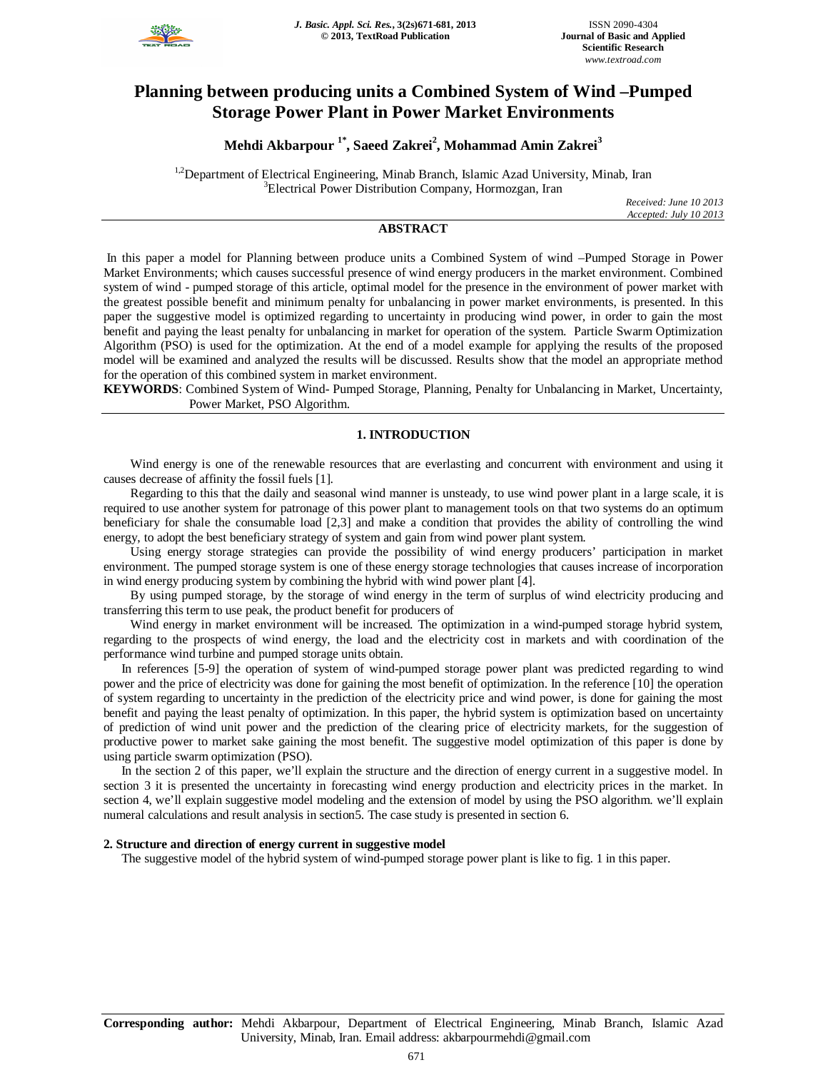

# **Planning between producing units a Combined System of Wind –Pumped Storage Power Plant in Power Market Environments**

**Mehdi Akbarpour 1\*, Saeed Zakrei<sup>2</sup> , Mohammad Amin Zakrei<sup>3</sup>**

<sup>1,2</sup>Department of Electrical Engineering, Minab Branch, Islamic Azad University, Minab, Iran <sup>3</sup>Electrical Power Distribution Company, Hormozgan, Iran

> *Received: June 10 2013 Accepted: July 10 2013*

# **ABSTRACT**

In this paper a model for Planning between produce units a Combined System of wind –Pumped Storage in Power Market Environments; which causes successful presence of wind energy producers in the market environment. Combined system of wind - pumped storage of this article, optimal model for the presence in the environment of power market with the greatest possible benefit and minimum penalty for unbalancing in power market environments, is presented. In this paper the suggestive model is optimized regarding to uncertainty in producing wind power, in order to gain the most benefit and paying the least penalty for unbalancing in market for operation of the system. Particle Swarm Optimization Algorithm (PSO) is used for the optimization. At the end of a model example for applying the results of the proposed model will be examined and analyzed the results will be discussed. Results show that the model an appropriate method for the operation of this combined system in market environment.

**KEYWORDS**: Combined System of Wind- Pumped Storage, Planning, Penalty for Unbalancing in Market, Uncertainty, Power Market, PSO Algorithm.

# **1. INTRODUCTION**

Wind energy is one of the renewable resources that are everlasting and concurrent with environment and using it causes decrease of affinity the fossil fuels [1].

Regarding to this that the daily and seasonal wind manner is unsteady, to use wind power plant in a large scale, it is required to use another system for patronage of this power plant to management tools on that two systems do an optimum beneficiary for shale the consumable load [2,3] and make a condition that provides the ability of controlling the wind energy, to adopt the best beneficiary strategy of system and gain from wind power plant system.

Using energy storage strategies can provide the possibility of wind energy producers' participation in market environment. The pumped storage system is one of these energy storage technologies that causes increase of incorporation in wind energy producing system by combining the hybrid with wind power plant [4].

By using pumped storage, by the storage of wind energy in the term of surplus of wind electricity producing and transferring this term to use peak, the product benefit for producers of

Wind energy in market environment will be increased. The optimization in a wind-pumped storage hybrid system, regarding to the prospects of wind energy, the load and the electricity cost in markets and with coordination of the performance wind turbine and pumped storage units obtain.

In references [5-9] the operation of system of wind-pumped storage power plant was predicted regarding to wind power and the price of electricity was done for gaining the most benefit of optimization. In the reference [10] the operation of system regarding to uncertainty in the prediction of the electricity price and wind power, is done for gaining the most benefit and paying the least penalty of optimization. In this paper, the hybrid system is optimization based on uncertainty of prediction of wind unit power and the prediction of the clearing price of electricity markets, for the suggestion of productive power to market sake gaining the most benefit. The suggestive model optimization of this paper is done by using particle swarm optimization (PSO).

In the section 2 of this paper, we'll explain the structure and the direction of energy current in a suggestive model. In section 3 it is presented the uncertainty in forecasting wind energy production and electricity prices in the market. In section 4, we'll explain suggestive model modeling and the extension of model by using the PSO algorithm. we'll explain numeral calculations and result analysis in section5. The case study is presented in section 6.

## **2. Structure and direction of energy current in suggestive model**

The suggestive model of the hybrid system of wind-pumped storage power plant is like to fig. 1 in this paper.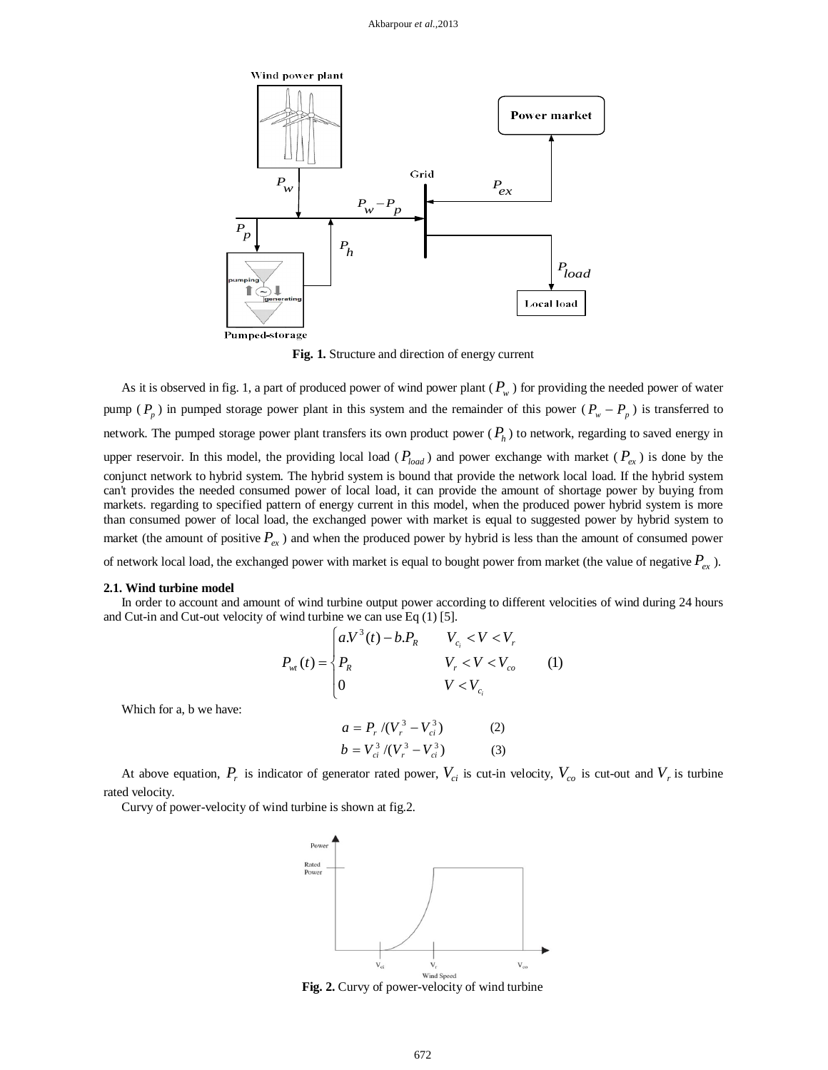

**Fig. 1.** Structure and direction of energy current

As it is observed in fig. 1, a part of produced power of wind power plant  $(P_w)$  for providing the needed power of water pump ( $P_p$ ) in pumped storage power plant in this system and the remainder of this power ( $P_w - P_p$ ) is transferred to network. The pumped storage power plant transfers its own product power ( *P<sup>h</sup>* ) to network, regarding to saved energy in upper reservoir. In this model, the providing local load ( $P_{load}$ ) and power exchange with market ( $P_{ex}$ ) is done by the conjunct network to hybrid system. The hybrid system is bound that provide the network local load. If the hybrid system can't provides the needed consumed power of local load, it can provide the amount of shortage power by buying from markets. regarding to specified pattern of energy current in this model, when the produced power hybrid system is more than consumed power of local load, the exchanged power with market is equal to suggested power by hybrid system to market (the amount of positive  $P_{ex}$ ) and when the produced power by hybrid is less than the amount of consumed power of network local load, the exchanged power with market is equal to bought power from market (the value of negative  $P_{ex}$ ).

#### **2.1. Wind turbine model**

In order to account and amount of wind turbine output power according to different velocities of wind during 24 hours and Cut-in and Cut-out velocity of wind turbine we can use Eq (1) [5].

$$
P_{wt}(t) = \begin{cases} a.V^3(t) - b.P_R & V_{c_i} < V < V_r \\ P_R & V_r < V < V_{co} \\ 0 & V < V_{c_i} \end{cases}
$$
 (1)

Which for a, b we have:

$$
a = P_r / (V_r^3 - V_{ci}^3)
$$
 (2)  

$$
b = V_{ci}^3 / (V_r^3 - V_{ci}^3)
$$
 (3)

At above equation,  $P_r$  is indicator of generator rated power,  $V_{ci}$  is cut-in velocity,  $V_{co}$  is cut-out and  $V_r$  is turbine rated velocity.

Curvy of power-velocity of wind turbine is shown at fig.2.



**Fig. 2.** Curvy of power-velocity of wind turbine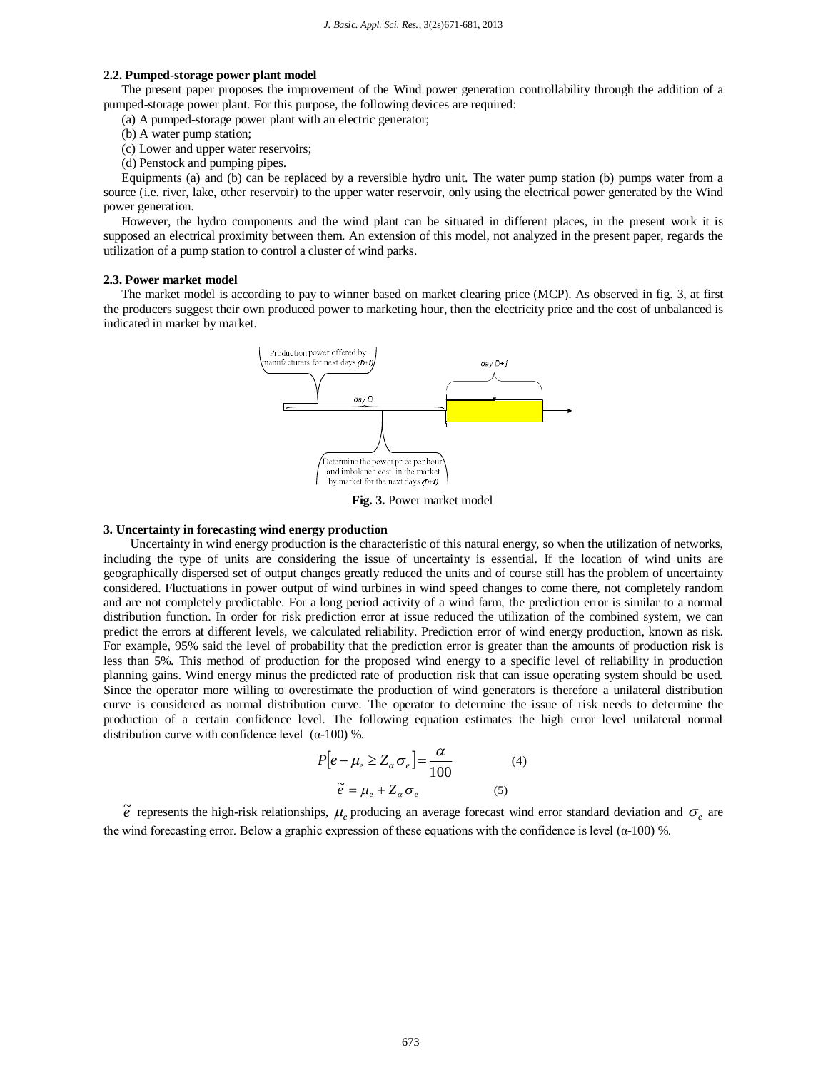# **2.2. Pumped-storage power plant model**

The present paper proposes the improvement of the Wind power generation controllability through the addition of a pumped-storage power plant. For this purpose, the following devices are required:

(a) A pumped-storage power plant with an electric generator;

- (b) A water pump station;
- (c) Lower and upper water reservoirs;
- (d) Penstock and pumping pipes.

Equipments (a) and (b) can be replaced by a reversible hydro unit. The water pump station (b) pumps water from a source (i.e. river, lake, other reservoir) to the upper water reservoir, only using the electrical power generated by the Wind power generation.

However, the hydro components and the wind plant can be situated in different places, in the present work it is supposed an electrical proximity between them. An extension of this model, not analyzed in the present paper, regards the utilization of a pump station to control a cluster of wind parks.

#### **2.3. Power market model**

The market model is according to pay to winner based on market clearing price (MCP). As observed in fig. 3, at first the producers suggest their own produced power to marketing hour, then the electricity price and the cost of unbalanced is indicated in market by market.



**Fig. 3.** Power market model

## **3. Uncertainty in forecasting wind energy production**

Uncertainty in wind energy production is the characteristic of this natural energy, so when the utilization of networks, including the type of units are considering the issue of uncertainty is essential. If the location of wind units are geographically dispersed set of output changes greatly reduced the units and of course still has the problem of uncertainty considered. Fluctuations in power output of wind turbines in wind speed changes to come there, not completely random and are not completely predictable. For a long period activity of a wind farm, the prediction error is similar to a normal distribution function. In order for risk prediction error at issue reduced the utilization of the combined system, we can predict the errors at different levels, we calculated reliability. Prediction error of wind energy production, known as risk. For example, 95% said the level of probability that the prediction error is greater than the amounts of production risk is less than 5%. This method of production for the proposed wind energy to a specific level of reliability in production planning gains. Wind energy minus the predicted rate of production risk that can issue operating system should be used. Since the operator more willing to overestimate the production of wind generators is therefore a unilateral distribution curve is considered as normal distribution curve. The operator to determine the issue of risk needs to determine the production of a certain confidence level. The following equation estimates the high error level unilateral normal distribution curve with confidence level (α-100) %.

$$
P[e - \mu_e \ge Z_\alpha \sigma_e] = \frac{\alpha}{100}
$$
 (4)  

$$
\tilde{e} = \mu_e + Z_\alpha \sigma_e
$$
 (5)

 $\tilde{e}$  represents the high-risk relationships,  $\mu_e$  producing an average forecast wind error standard deviation and  $\sigma_e$  are the wind forecasting error. Below a graphic expression of these equations with the confidence is level ( $\alpha$ -100) %.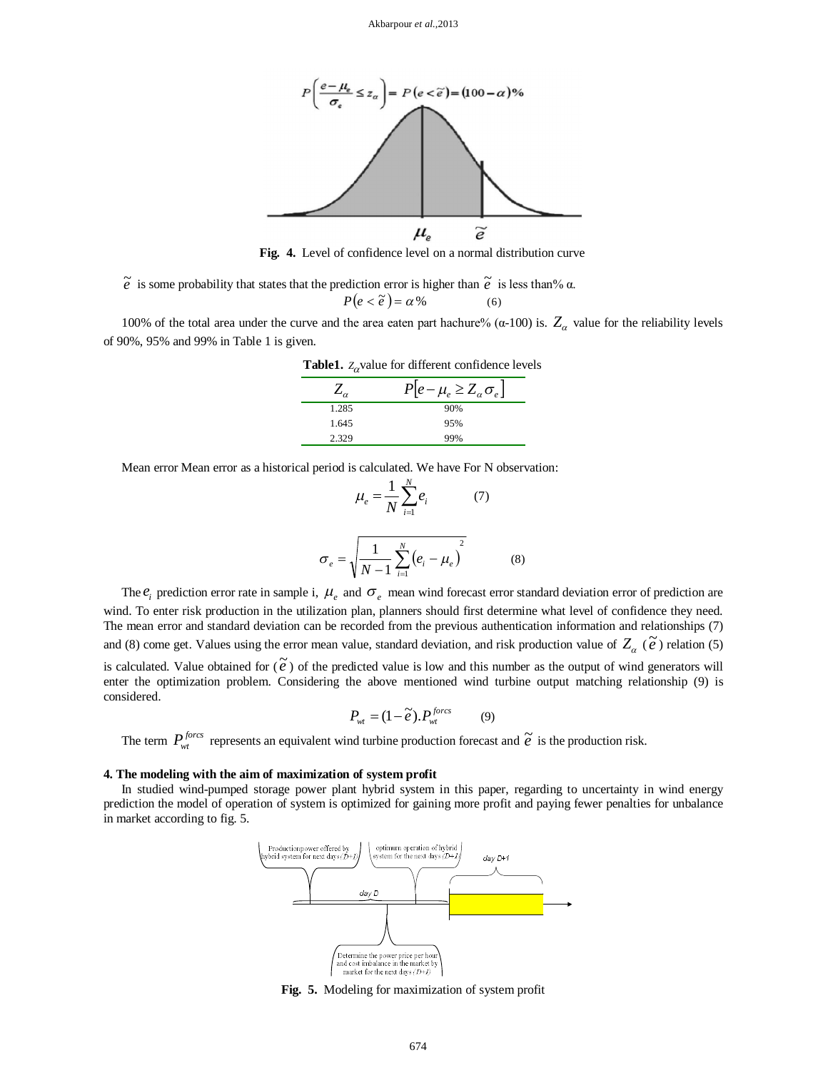

**Fig. 4.** Level of confidence level on a normal distribution curve

 $\tilde{e}$  is some probability that states that the prediction error is higher than  $\tilde{e}$  is less than%  $\alpha$ .

$$
P(e < \tilde{e}) = \alpha \, \%
$$
 (6)

100% of the total area under the curve and the area eaten part hachure% (α-100) is.  $Z_\alpha$  value for the reliability levels of 90%, 95% and 99% in Table 1 is given.

| <b>Table1.</b> $Z_{\alpha}$ value for different confidence levels |                                     |  |  |  |
|-------------------------------------------------------------------|-------------------------------------|--|--|--|
| $Z_{\alpha}$                                                      | $P[e-\mu_e \geq Z_\alpha \sigma_e]$ |  |  |  |
| 1.285                                                             | 90%                                 |  |  |  |
| 1.645                                                             | 95%                                 |  |  |  |
| 2.329                                                             | 99%                                 |  |  |  |

Mean error Mean error as a historical period is calculated. We have For N observation:

$$
\mu_e = \frac{1}{N} \sum_{i=1}^{N} e_i \qquad (7)
$$

$$
\sigma_e = \sqrt{\frac{1}{N-1} \sum_{i=1}^{N} (e_i - \mu_e)^2} \qquad (8)
$$

The  $e_i$  prediction error rate in sample i,  $\mu_e$  and  $\sigma_e$  mean wind forecast error standard deviation error of prediction are wind. To enter risk production in the utilization plan, planners should first determine what level of confidence they need. The mean error and standard deviation can be recorded from the previous authentication information and relationships (7) and (8) come get. Values using the error mean value, standard deviation, and risk production value of  $Z_{\alpha}$  ( $\tilde{e}$ ) relation (5)

is calculated. Value obtained for  $(\tilde{e})$  of the predicted value is low and this number as the output of wind generators will enter the optimization problem. Considering the above mentioned wind turbine output matching relationship (9) is considered.

$$
P_{\rm wt} = (1 - \tilde{e}), P_{\rm wt}^{fores} \tag{9}
$$

The term  $P_{wt}^{fores}$  represents an equivalent wind turbine production forecast and  $\tilde{e}$  is the production risk.

## **4. The modeling with the aim of maximization of system profit**

In studied wind-pumped storage power plant hybrid system in this paper, regarding to uncertainty in wind energy prediction the model of operation of system is optimized for gaining more profit and paying fewer penalties for unbalance in market according to fig. 5.



**Fig. 5.** Modeling for maximization of system profit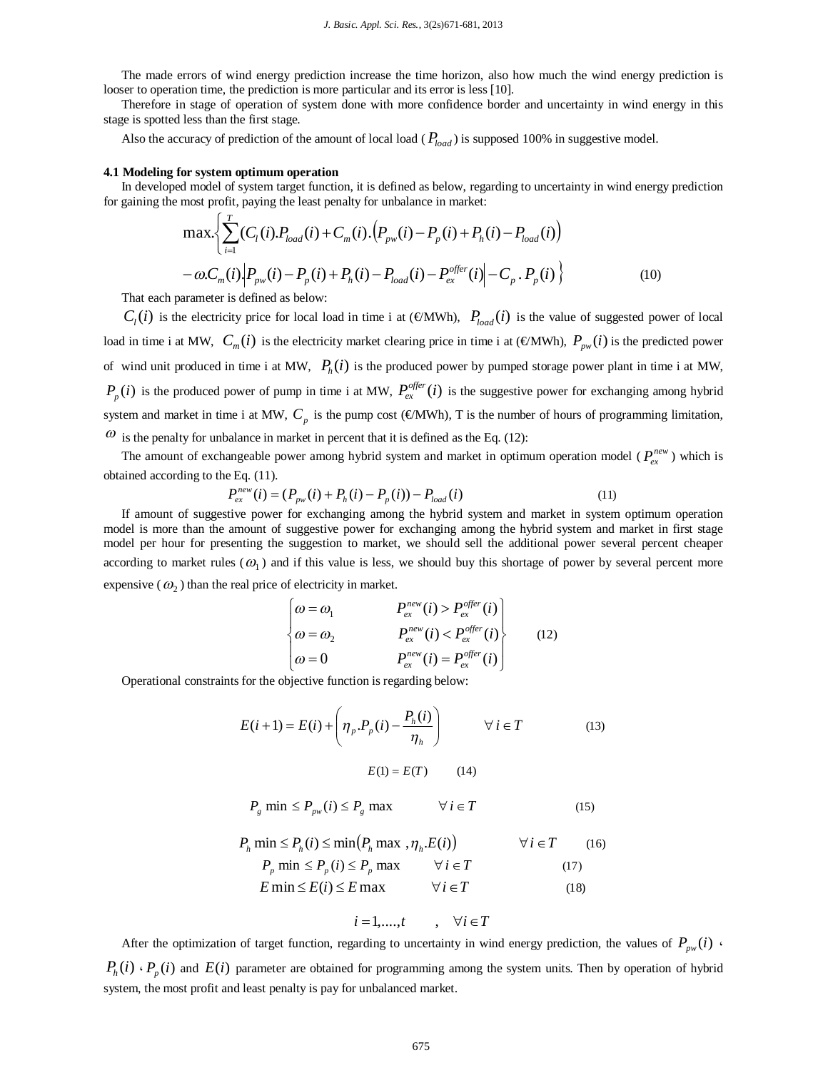The made errors of wind energy prediction increase the time horizon, also how much the wind energy prediction is looser to operation time, the prediction is more particular and its error is less [10].

Therefore in stage of operation of system done with more confidence border and uncertainty in wind energy in this stage is spotted less than the first stage.

Also the accuracy of prediction of the amount of local load ( $P_{load}$ ) is supposed 100% in suggestive model.

## **4.1 Modeling for system optimum operation**

In developed model of system target function, it is defined as below, regarding to uncertainty in wind energy prediction for gaining the most profit, paying the least penalty for unbalance in market:

$$
\max \left\{ \sum_{i=1}^{T} (C_i(i) . P_{load}(i) + C_m(i) . (P_{pw}(i) - P_p(i) + P_h(i) - P_{load}(i)) - \omega C_m(i) \Big| P_{pw}(i) - P_p(i) + P_h(i) - P_{load}(i) - P_{ex}^{offer}(i) \Big| - C_p \cdot P_p(i) \right\}
$$
(10)

That each parameter is defined as below:

 $C_i(i)$  is the electricity price for local load in time i at (€MWh),  $P_{load}(i)$  is the value of suggested power of local load in time i at MW,  $C_m(i)$  is the electricity market clearing price in time i at ( $\infty$ MWh),  $P_{pw}(i)$  is the predicted power of wind unit produced in time i at MW,  $P_h(i)$  is the produced power by pumped storage power plant in time i at MW,  $P_p(i)$  is the produced power of pump in time i at MW,  $P_{ex}^{offer}(i)$  is the suggestive power for exchanging among hybrid system and market in time i at MW,  $C_p$  is the pump cost ( $\in$ MWh), T is the number of hours of programming limitation,  $\omega$  is the penalty for unbalance in market in percent that it is defined as the Eq. (12):

The amount of exchangeable power among hybrid system and market in optimum operation model ( $P_{ex}^{new}$ ) which is obtained according to the Eq. (11).

$$
P_{ex}^{new}(i) = (P_{pw}(i) + P_h(i) - P_p(i)) - P_{load}(i)
$$
\n(11)

If amount of suggestive power for exchanging among the hybrid system and market in system optimum operation model is more than the amount of suggestive power for exchanging among the hybrid system and market in first stage model per hour for presenting the suggestion to market, we should sell the additional power several percent cheaper according to market rules  $(\omega_1)$  and if this value is less, we should buy this shortage of power by several percent more expensive  $(\omega_2)$  than the real price of electricity in market.

$$
\begin{cases}\n\omega = \omega_1 & P_{ex}^{new}(i) > P_{ex}^{offer}(i) \\
\omega = \omega_2 & P_{ex}^{new}(i) < P_{ex}^{offer}(i) \\
\omega = 0 & P_{ex}^{new}(i) = P_{ex}^{offer}(i)\n\end{cases}
$$
(12)

Operational constraints for the objective function is regarding below:

$$
E(i+1) = E(i) + \left(\eta_p \cdot P_p(i) - \frac{P_h(i)}{\eta_h}\right) \qquad \forall i \in T
$$
\n
$$
E(1) = E(T) \qquad (14)
$$
\n
$$
(13)
$$

$$
P_{g} \min \le P_{\text{pw}}(i) \le P_{g} \max \qquad \forall i \in T \tag{15}
$$

$$
P_h \min \le P_h(i) \le \min\left(P_h \max, \eta_h.E(i)\right) \qquad \forall i \in T \qquad (16)
$$
  

$$
P_p \min \le P_p(i) \le P_p \max \qquad \forall i \in T \qquad (17)
$$

$$
E \min \le E(i) \le E \max \qquad \forall i \in T \tag{18}
$$

$$
i = 1, \dots, t \qquad , \quad \forall i \in T
$$

After the optimization of target function, regarding to uncertainty in wind energy prediction, the values of  $P_{\mu\nu}(i)$  $P_h(i) \cdot P_p(i)$  and  $E(i)$  parameter are obtained for programming among the system units. Then by operation of hybrid system, the most profit and least penalty is pay for unbalanced market.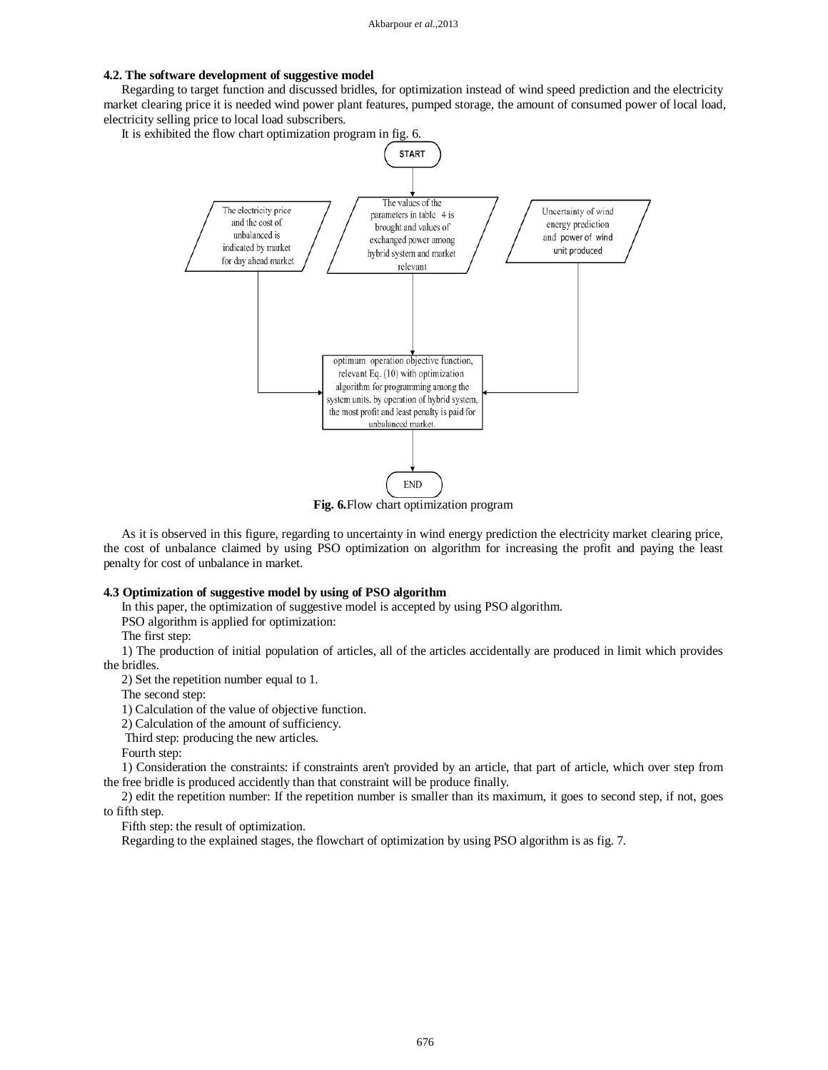# **4.2. The software development of suggestive model**

Regarding to target function and discussed bridles, for optimization instead of wind speed prediction and the electricity market clearing price it is needed wind power plant features, pumped storage, the amount of consumed power of local load, electricity selling price to local load subscribers.

It is exhibited the flow chart optimization program in fig. 6.



**Fig. 6.**Flow chart optimization program

As it is observed in this figure, regarding to uncertainty in wind energy prediction the electricity market clearing price, the cost of unbalance claimed by using PSO optimization on algorithm for increasing the profit and paying the least penalty for cost of unbalance in market.

## **4.3 Optimization of suggestive model by using of PSO algorithm**

In this paper, the optimization of suggestive model is accepted by using PSO algorithm.

PSO algorithm is applied for optimization:

The first step:

1) The production of initial population of articles, all of the articles accidentally are produced in limit which provides the bridles.

2) Set the repetition number equal to 1.

The second step:

1) Calculation of the value of objective function.

2) Calculation of the amount of sufficiency.

Third step: producing the new articles.

Fourth step:

1) Consideration the constraints: if constraints aren't provided by an article, that part of article, which over step from the free bridle is produced accidently than that constraint will be produce finally.

2) edit the repetition number: If the repetition number is smaller than its maximum, it goes to second step, if not, goes to fifth step.

Fifth step: the result of optimization.

Regarding to the explained stages, the flowchart of optimization by using PSO algorithm is as fig. 7.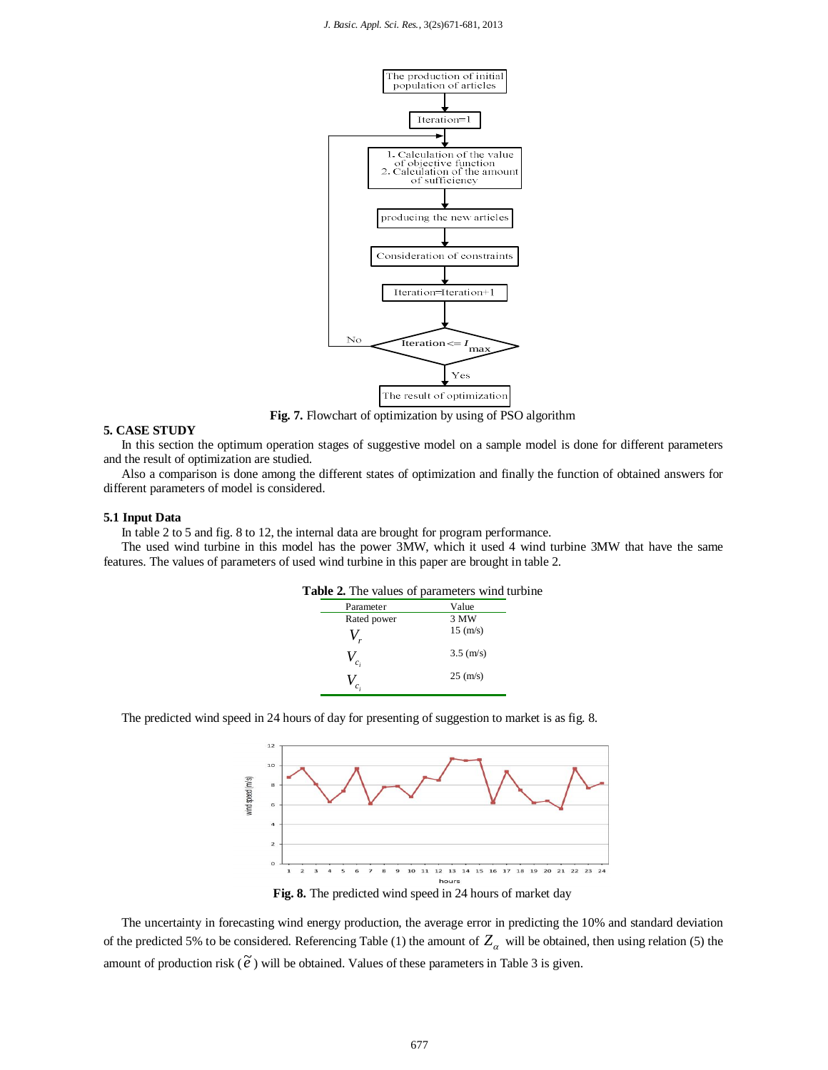

**Fig. 7.** Flowchart of optimization by using of PSO algorithm

# **5. CASE STUDY**

In this section the optimum operation stages of suggestive model on a sample model is done for different parameters and the result of optimization are studied.

Also a comparison is done among the different states of optimization and finally the function of obtained answers for different parameters of model is considered.

#### **5.1 Input Data**

In table 2 to 5 and fig. 8 to 12, the internal data are brought for program performance.

The used wind turbine in this model has the power 3MW, which it used 4 wind turbine 3MW that have the same features. The values of parameters of used wind turbine in this paper are brought in table 2.

| <b>Table 2.</b> The values of parameters wind turbine |                |  |  |  |
|-------------------------------------------------------|----------------|--|--|--|
| Parameter                                             | Value          |  |  |  |
| Rated power                                           | 3 MW           |  |  |  |
|                                                       | $15 \; (m/s)$  |  |  |  |
| $\overline{c_i}$                                      | $3.5 \; (m/s)$ |  |  |  |
|                                                       | $25 \; (m/s)$  |  |  |  |

The predicted wind speed in 24 hours of day for presenting of suggestion to market is as fig. 8.



**Fig. 8.** The predicted wind speed in 24 hours of market day

The uncertainty in forecasting wind energy production, the average error in predicting the 10% and standard deviation of the predicted 5% to be considered. Referencing Table (1) the amount of  $Z_a$  will be obtained, then using relation (5) the amount of production risk  $(\tilde{e})$  will be obtained. Values of these parameters in Table 3 is given.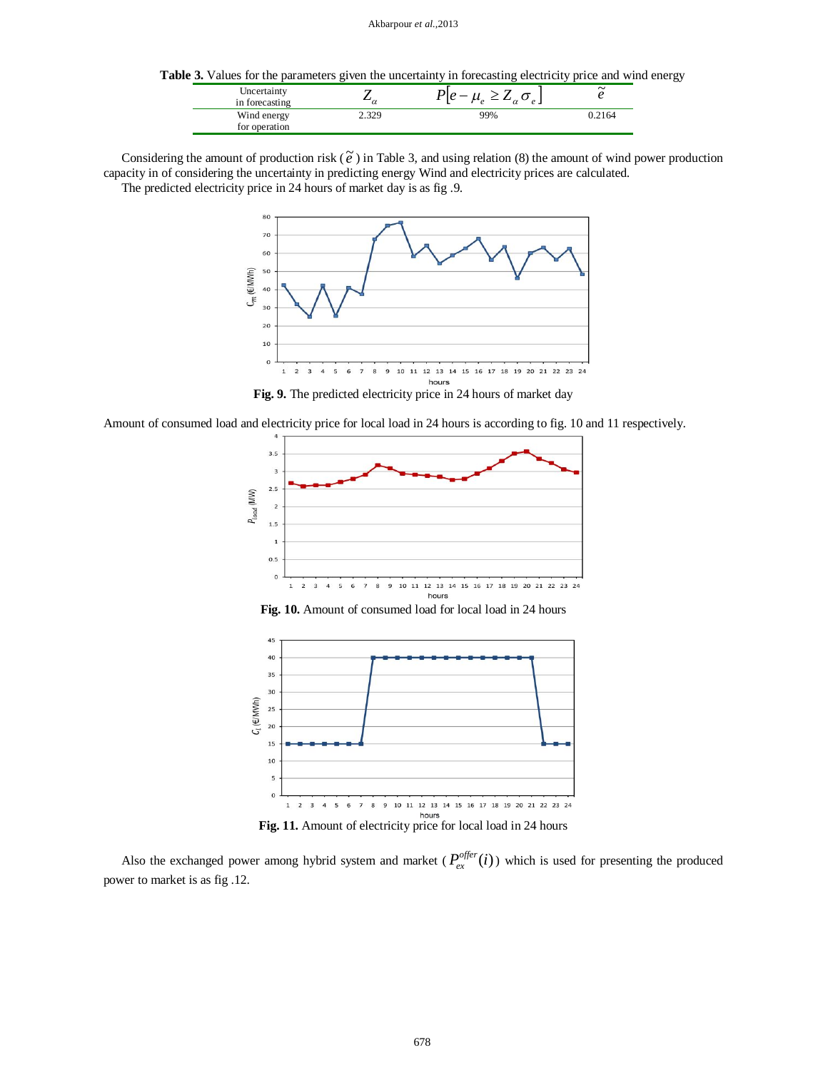**Table 3.** Values for the parameters given the uncertainty in forecasting electricity price and wind energy

| Uncertainty<br>in forecasting |     | $\tilde{\phantom{a}}$ |
|-------------------------------|-----|-----------------------|
| Wind energy<br>for operation  | 99% | .2164                 |

Considering the amount of production risk  $(\tilde{e})$  in Table 3, and using relation (8) the amount of wind power production capacity in of considering the uncertainty in predicting energy Wind and electricity prices are calculated. The predicted electricity price in 24 hours of market day is as fig .9.



**Fig. 9.** The predicted electricity price in 24 hours of market day

Amount of consumed load and electricity price for local load in 24 hours is according to fig. 10 and 11 respectively.



**Fig. 10.** Amount of consumed load for local load in 24 hours



**Fig. 11.** Amount of electricity price for local load in 24 hours

Also the exchanged power among hybrid system and market  $(P_{ex}^{offer}(i))$  which is used for presenting the produced power to market is as fig .12.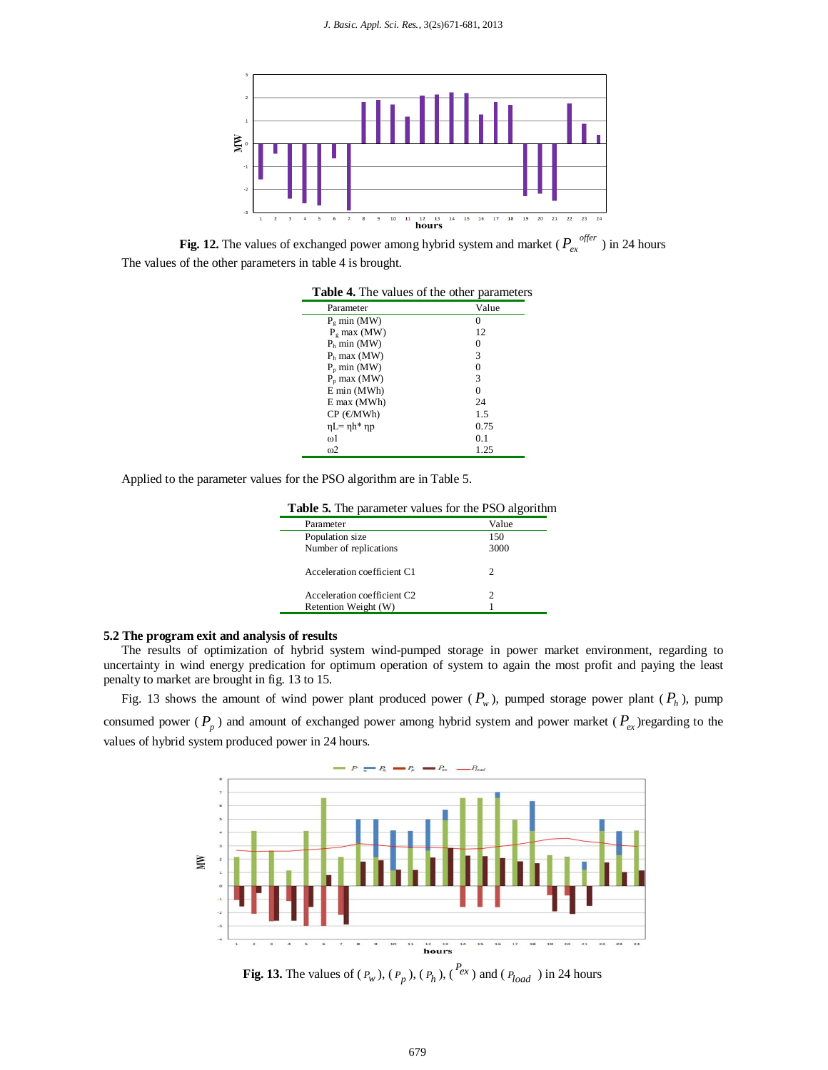

**Fig. 12.** The values of exchanged power among hybrid system and market ( $P_{ex}^{offer}$ ) in 24 hours The values of the other parameters in table 4 is brought.

| <b>Table 4.</b> The values of the other parameters |       |  |  |  |
|----------------------------------------------------|-------|--|--|--|
| Parameter                                          | Value |  |  |  |
| $P\sigma$ min (MW)                                 |       |  |  |  |
| $P_{\sigma}$ max (MW)                              | 12    |  |  |  |
| $P_h$ min (MW)                                     |       |  |  |  |
| $Pb$ max (MW)                                      | 3     |  |  |  |
| $P_p$ min (MW)                                     |       |  |  |  |
| $Pp$ max (MW)                                      | 3     |  |  |  |
| E min (MWh)                                        |       |  |  |  |
| $E$ max (MWh)                                      | 24    |  |  |  |
| $CP$ ( $\infty$ MWh)                               | 1.5   |  |  |  |
| $ηL=ηh*ηp$                                         | 0.75  |  |  |  |
| രി                                                 | 01    |  |  |  |
| $\omega$ 2                                         | 1.25  |  |  |  |

Applied to the parameter values for the PSO algorithm are in Table 5.

| <b>Table 5.</b> The parameter values for the PSO algorithm |
|------------------------------------------------------------|
|------------------------------------------------------------|

| Parameter                               | Value |
|-----------------------------------------|-------|
| Population size                         | 150   |
| Number of replications                  | 3000  |
| Acceleration coefficient C1             | 2     |
| Acceleration coefficient C <sub>2</sub> | 2     |
| Retention Weight (W)                    |       |
|                                         |       |

## **5.2 The program exit and analysis of results**

The results of optimization of hybrid system wind-pumped storage in power market environment, regarding to uncertainty in wind energy predication for optimum operation of system to again the most profit and paying the least penalty to market are brought in fig. 13 to 15.

Fig. 13 shows the amount of wind power plant produced power  $(P_w)$ , pumped storage power plant  $(P_h)$ , pump consumed power ( $P_p$ ) and amount of exchanged power among hybrid system and power market ( $P_{ex}$ )regarding to the values of hybrid system produced power in 24 hours.



**Fig. 13.** The values of  $(P_w)$ ,  $(P_p)$ ,  $(P_h)$ ,  $(P_{ex})$  and  $(P_{load})$  in 24 hours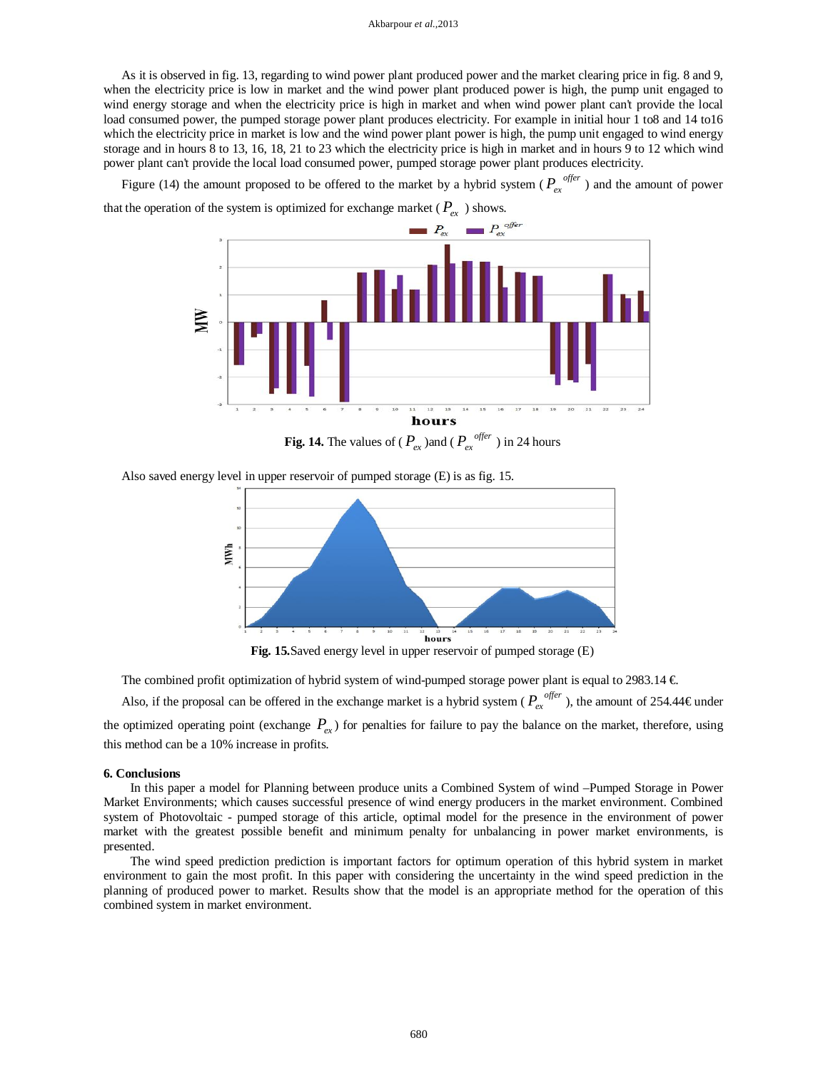#### Akbarpour *et al.,*2013

As it is observed in fig. 13, regarding to wind power plant produced power and the market clearing price in fig. 8 and 9, when the electricity price is low in market and the wind power plant produced power is high, the pump unit engaged to wind energy storage and when the electricity price is high in market and when wind power plant can't provide the local load consumed power, the pumped storage power plant produces electricity. For example in initial hour 1 to8 and 14 to16 which the electricity price in market is low and the wind power plant power is high, the pump unit engaged to wind energy storage and in hours 8 to 13, 16, 18, 21 to 23 which the electricity price is high in market and in hours 9 to 12 which wind power plant can't provide the local load consumed power, pumped storage power plant produces electricity.

Figure (14) the amount proposed to be offered to the market by a hybrid system ( $P_{er}^{offer}$ ) and the amount of power that the operation of the system is optimized for exchange market ( $P_{ex}$ ) shows.



**Fig. 14.** The values of ( $P_{ex}$ ) and ( $P_{ex}^{offer}$ ) in 24 hours

Also saved energy level in upper reservoir of pumped storage (E) is as fig. 15.



**Fig. 15.**Saved energy level in upper reservoir of pumped storage (E)

The combined profit optimization of hybrid system of wind-pumped storage power plant is equal to 2983.14  $\in$ 

Also, if the proposal can be offered in the exchange market is a hybrid system ( $P_{ex}^{offer}$ ), the amount of 254.44 € under

the optimized operating point (exchange  $P_{\rho x}$ ) for penalties for failure to pay the balance on the market, therefore, using this method can be a 10% increase in profits.

#### **6. Conclusions**

In this paper a model for Planning between produce units a Combined System of wind –Pumped Storage in Power Market Environments; which causes successful presence of wind energy producers in the market environment. Combined system of Photovoltaic - pumped storage of this article, optimal model for the presence in the environment of power market with the greatest possible benefit and minimum penalty for unbalancing in power market environments, is presented.

The wind speed prediction prediction is important factors for optimum operation of this hybrid system in market environment to gain the most profit. In this paper with considering the uncertainty in the wind speed prediction in the planning of produced power to market. Results show that the model is an appropriate method for the operation of this combined system in market environment.